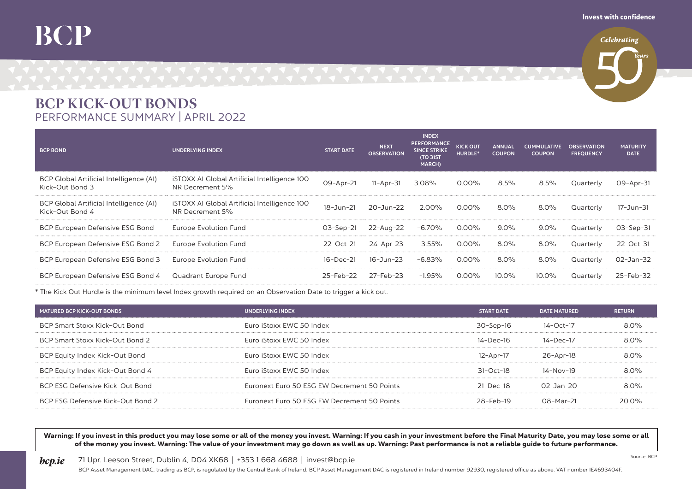## **BCP**

**Celebrating** 

## BCP KICK-OUT BONDS PERFORMANCE SUMMARY | APRIL 2022

| <b>BCP BOND</b>                                            | <b>UNDERLYING INDEX</b>                                                | <b>START DATE</b> | <b>NEXT</b><br><b>OBSERVATION</b> | <b>INDEX</b><br><b>PERFORMANCE</b><br><b>SINCE STRIKE</b><br><b>(TO 31ST)</b><br>MARCH) | <b>KICK OUT</b><br>HURDLE* | <b>ANNUAL</b><br><b>COUPON</b> | <b>CUMMULATIVE</b><br><b>COUPON</b> | <b>OBSERVATION</b><br><b>FREQUENCY</b> | <b>MATURITY</b><br><b>DATE</b> |
|------------------------------------------------------------|------------------------------------------------------------------------|-------------------|-----------------------------------|-----------------------------------------------------------------------------------------|----------------------------|--------------------------------|-------------------------------------|----------------------------------------|--------------------------------|
| BCP Global Artificial Intelligence (AI)<br>Kick-Out Bond 3 | <b>iSTOXX AI Global Artificial Intelligence 100</b><br>NR Decrement 5% | 09-Apr-21         | $11 -$ Apr $-31$                  | 3.08%                                                                                   | 0.00%                      | 8.5%                           | 8.5%                                | Quarterly                              | 09-Apr-31                      |
| BCP Global Artificial Intelligence (AI)<br>Kick-Out Bond 4 | <b>iSTOXX AI Global Artificial Intelligence 100</b><br>NR Decrement 5% | 18-Jun-21         | 20-Jun-22                         | 2.00%                                                                                   | 0.00%                      | 8.0%                           | 8.0%                                | Quarterly                              | 17-Jun-31                      |
| BCP European Defensive ESG Bond                            | Europe Evolution Fund                                                  | $O3 - Sep -21$    | 22-Aug-22                         | $-6.70\%$                                                                               | $0.00\%$                   | $9.0\%$                        | $9.0\%$                             | Quarterly                              | $O3 - Sep -31$                 |
| BCP European Defensive ESG Bond 2                          | Europe Evolution Fund                                                  | 22-Oct-21         | 24-Apr-23                         | $-3.55\%$                                                                               | 0.00%                      | 8.0%                           | $8.0\%$                             | Quarterly                              | $22 - Oct - 31$                |
| BCP European Defensive ESG Bond 3                          | Europe Evolution Fund                                                  | 16-Dec-21         | 16-Jun-23                         | $-6.83%$                                                                                | റ ററ‰                      | 8.0%                           | $8.0\%$                             | Quarterly                              | O2-Jan-32                      |
| BCP European Defensive ESG Bond 4 Quadrant Europe Fund     |                                                                        | 25-Feb-22         | 27-Feb-23                         | $-1.95\%$                                                                               | 0.00%                      | 10.0%                          | 10.0%                               | Quarterly                              | $25 - Feb - 32$                |

\* The Kick Out Hurdle is the minimum level Index growth required on an Observation Date to trigger a kick out.

| MATURED BCP KICK-OUT BONDS        | UNDERLYING INDEX                            | <b>START DATE</b>     | <b>DATE MATURED</b> | <b>RETURN</b> |
|-----------------------------------|---------------------------------------------|-----------------------|---------------------|---------------|
| BCP Smart Stoxx Kick-Out Bond     | Euro iStoxx EWC 50 Index                    | 30-Sep-16             | $14 - Oct - 17$     | $80\%$        |
| BCP Smart Stoxx Kick-Out Bond 2   | Euro iStoxx EWC 50 Index                    | 14-Dec-16             | 14-Dec-17           | $80\%$        |
| BCP Equity Index Kick-Out Bond    | Euro iStoxx EWC 50 Index                    | 12-Apr-17             | 26-Apr-18           | $80\%$        |
| BCP Equity Index Kick-Out Bond 4  | Furo iStoxx FWC 50 Index                    | $31 - \Omega ct - 18$ | 14-Nov-19           | $80\%$        |
| BCP ESG Defensive Kick-Out Bond   | Furonext Furo 50 FSG FW Decrement 50 Points | $21 - Dec - 18$       | $02 - 7an - 20$     | $80\%$        |
| BCP ESG Defensive Kick-Out Bond 2 | Euronext Euro 50 ESG EW Decrement 50 Points | $28-Feh-19$           | $08-Mar-21$         | 20 U.Y        |
|                                   |                                             |                       |                     |               |

Warning: If you invest in this product you may lose some or all of the money you invest. Warning: If you cash in your investment before the Final Maturity Date, you may lose some or all of the money you invest. Warning: The value of your investment may go down as well as up. Warning: Past performance is not a reliable guide to future performance.

**bcp.ie** 71 Upr. Leeson Street, Dublin 4, DO4 XK68 | +353 1 668 4688 | invest@bcp.ie

BCP Asset Management DAC, trading as BCP, is regulated by the Central Bank of Ireland. BCP Asset Management DAC is registered in Ireland number 92930, registered office as above. VAT number IE4693404F.